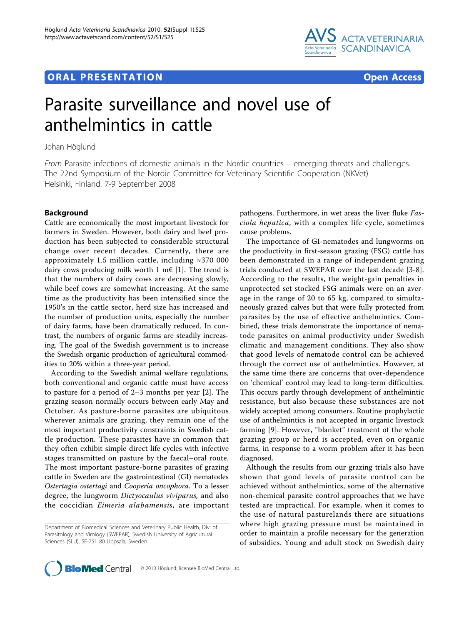# **ORAL PRESENTATION OPEN ACCESS**



# Parasite surveillance and novel use of anthelmintics in cattle

Johan Höglund

From Parasite infections of domestic animals in the Nordic countries – emerging threats and challenges. The 22nd Symposium of the Nordic Committee for Veterinary Scientific Cooperation (NKVet) Helsinki, Finland. 7-9 September 2008

# Background

Cattle are economically the most important livestock for farmers in Sweden. However, both dairy and beef production has been subjected to considerable structural change over recent decades. Currently, there are approximately 1.5 million cattle, including ≈370 000 dairy cows producing milk worth 1 m€ [[1\]](#page-2-0). The trend is that the numbers of dairy cows are decreasing slowly, while beef cows are somewhat increasing. At the same time as the productivity has been intensified since the 1950's in the cattle sector, herd size has increased and the number of production units, especially the number of dairy farms, have been dramatically reduced. In contrast, the numbers of organic farms are steadily increasing. The goal of the Swedish government is to increase the Swedish organic production of agricultural commodities to 20% within a three-year period.

According to the Swedish animal welfare regulations, both conventional and organic cattle must have access to pasture for a period of 2–3 months per year [[2](#page-2-0)]. The grazing season normally occurs between early May and October. As pasture-borne parasites are ubiquitous wherever animals are grazing, they remain one of the most important productivity constraints in Swedish cattle production. These parasites have in common that they often exhibit simple direct life cycles with infective stages transmitted on pasture by the faecal–oral route. The most important pasture-borne parasites of grazing cattle in Sweden are the gastrointestinal (GI) nematodes Ostertagia ostertagi and Cooperia oncophora. To a lesser degree, the lungworm Dictyocaulus viviparus, and also the coccidian Eimeria alabamensis, are important pathogens. Furthermore, in wet areas the liver fluke Fasciola hepatica, with a complex life cycle, sometimes cause problems.

The importance of GI-nematodes and lungworms on the productivity in first-season grazing (FSG) cattle has been demonstrated in a range of independent grazing trials conducted at SWEPAR over the last decade [[3-](#page-2-0)[8](#page-3-0)]. According to the results, the weight-gain penalties in unprotected set stocked FSG animals were on an average in the range of 20 to 65 kg, compared to simultaneously grazed calves but that were fully protected from parasites by the use of effective anthelmintics. Combined, these trials demonstrate the importance of nematode parasites on animal productivity under Swedish climatic and management conditions. They also show that good levels of nematode control can be achieved through the correct use of anthelmintics. However, at the same time there are concerns that over-dependence on 'chemical' control may lead to long-term difficulties. This occurs partly through development of anthelmintic resistance, but also because these substances are not widely accepted among consumers. Routine prophylactic use of anthelmintics is not accepted in organic livestock farming [[9\]](#page-3-0). However, "blanket" treatment of the whole grazing group or herd is accepted, even on organic farms, in response to a worm problem after it has been diagnosed.

Although the results from our grazing trials also have shown that good levels of parasite control can be achieved without anthelmintics, some of the alternative non-chemical parasite control approaches that we have tested are impractical. For example, when it comes to the use of natural pasturelands there are situations where high grazing pressure must be maintained in order to maintain a profile necessary for the generation of subsidies. Young and adult stock on Swedish dairy



Department of Biomedical Sciences and Veterinary Public Health, Div. of Parasitology and Virology (SWEPAR), Swedish University of Agricultural Sciences (SLU), SE-751 80 Uppsala, Sweden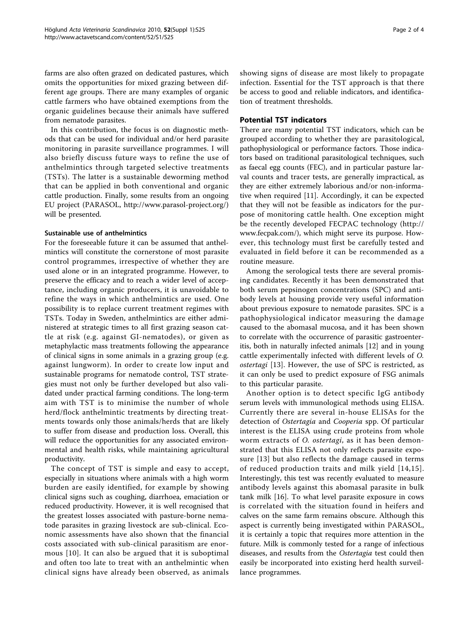farms are also often grazed on dedicated pastures, which omits the opportunities for mixed grazing between different age groups. There are many examples of organic cattle farmers who have obtained exemptions from the organic guidelines because their animals have suffered from nematode parasites.

In this contribution, the focus is on diagnostic methods that can be used for individual and/or herd parasite monitoring in parasite surveillance programmes. I will also briefly discuss future ways to refine the use of anthelmintics through targeted selective treatments (TSTs). The latter is a sustainable deworming method that can be applied in both conventional and organic cattle production. Finally, some results from an ongoing EU project (PARASOL,<http://www.parasol-project.org/>) will be presented.

### Sustainable use of anthelmintics

For the foreseeable future it can be assumed that anthelmintics will constitute the cornerstone of most parasite control programmes, irrespective of whether they are used alone or in an integrated programme. However, to preserve the efficacy and to reach a wider level of acceptance, including organic producers, it is unavoidable to refine the ways in which anthelmintics are used. One possibility is to replace current treatment regimes with TSTs. Today in Sweden, anthelmintics are either administered at strategic times to all first grazing season cattle at risk (e.g. against GI-nematodes), or given as metaphylactic mass treatments following the appearance of clinical signs in some animals in a grazing group (e.g. against lungworm). In order to create low input and sustainable programs for nematode control, TST strategies must not only be further developed but also validated under practical farming conditions. The long-term aim with TST is to minimise the number of whole herd/flock anthelmintic treatments by directing treatments towards only those animals/herds that are likely to suffer from disease and production loss. Overall, this will reduce the opportunities for any associated environmental and health risks, while maintaining agricultural productivity.

The concept of TST is simple and easy to accept, especially in situations where animals with a high worm burden are easily identified, for example by showing clinical signs such as coughing, diarrhoea, emaciation or reduced productivity. However, it is well recognised that the greatest losses associated with pasture-borne nematode parasites in grazing livestock are sub-clinical. Economic assessments have also shown that the financial costs associated with sub-clinical parasitism are enormous [[10](#page-3-0)]. It can also be argued that it is suboptimal and often too late to treat with an anthelmintic when clinical signs have already been observed, as animals showing signs of disease are most likely to propagate infection. Essential for the TST approach is that there be access to good and reliable indicators, and identification of treatment thresholds.

# Potential TST indicators

There are many potential TST indicators, which can be grouped according to whether they are parasitological, pathophysiological or performance factors. Those indicators based on traditional parasitological techniques, such as faecal egg counts (FEC), and in particular pasture larval counts and tracer tests, are generally impractical, as they are either extremely laborious and/or non-informative when required [\[11](#page-3-0)]. Accordingly, it can be expected that they will not be feasible as indicators for the purpose of monitoring cattle health. One exception might be the recently developed FECPAC technology [\(http://](http://www.fecpak.com/) [www.fecpak.com/\)](http://www.fecpak.com/), which might serve its purpose. However, this technology must first be carefully tested and evaluated in field before it can be recommended as a routine measure.

Among the serological tests there are several promising candidates. Recently it has been demonstrated that both serum pepsinogen concentrations (SPC) and antibody levels at housing provide very useful information about previous exposure to nematode parasites. SPC is a pathophysiological indicator measuring the damage caused to the abomasal mucosa, and it has been shown to correlate with the occurrence of parasitic gastroenteritis, both in naturally infected animals [[12\]](#page-3-0) and in young cattle experimentally infected with different levels of O. ostertagi [[13\]](#page-3-0). However, the use of SPC is restricted, as it can only be used to predict exposure of FSG animals to this particular parasite.

Another option is to detect specific IgG antibody serum levels with immunological methods using ELISA. Currently there are several in-house ELISAs for the detection of Ostertagia and Cooperia spp. Of particular interest is the ELISA using crude proteins from whole worm extracts of O. ostertagi, as it has been demonstrated that this ELISA not only reflects parasite exposure [\[13\]](#page-3-0) but also reflects the damage caused in terms of reduced production traits and milk yield [[14,15\]](#page-3-0). Interestingly, this test was recently evaluated to measure antibody levels against this abomasal parasite in bulk tank milk [\[16](#page-3-0)]. To what level parasite exposure in cows is correlated with the situation found in heifers and calves on the same farm remains obscure. Although this aspect is currently being investigated within PARASOL, it is certainly a topic that requires more attention in the future. Milk is commonly tested for a range of infectious diseases, and results from the Ostertagia test could then easily be incorporated into existing herd health surveillance programmes.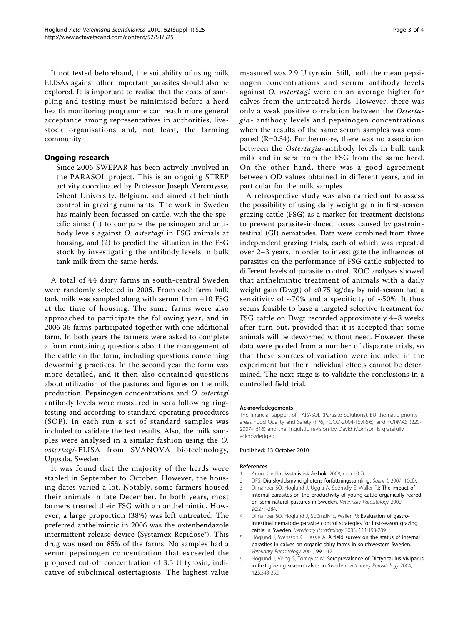<span id="page-2-0"></span>If not tested beforehand, the suitability of using milk ELISAs against other important parasites should also be explored. It is important to realise that the costs of sampling and testing must be minimised before a herd health monitoring programme can reach more general acceptance among representatives in authorities, livestock organisations and, not least, the farming community.

# Ongoing research

Since 2006 SWEPAR has been actively involved in the PARASOL project. This is an ongoing STREP activity coordinated by Professor Joseph Vercruysse, Ghent University, Belgium, and aimed at helminth control in grazing ruminants. The work in Sweden has mainly been focussed on cattle, with the the specific aims: (1) to compare the pepsinogen and antibody levels against O. ostertagi in FSG animals at housing, and (2) to predict the situation in the FSG stock by investigating the antibody levels in bulk tank milk from the same herds.

A total of 44 dairy farms in south-central Sweden were randomly selected in 2005. From each farm bulk tank milk was sampled along with serum from  $\sim$ 10 FSG at the time of housing. The same farms were also approached to participate the following year, and in 2006 36 farms participated together with one additional farm. In both years the farmers were asked to complete a form containing questions about the management of the cattle on the farm, including questions concerning deworming practices. In the second year the form was more detailed, and it then also contained questions about utilization of the pastures and figures on the milk production. Pepsinogen concentrations and O. ostertagi antibody levels were measured in sera following ringtesting and according to standard operating procedures (SOP). In each run a set of standard samples was included to validate the test results. Also, the milk samples were analysed in a similar fashion using the O. ostertagi-ELISA from SVANOVA biotechnology, Uppsala, Sweden.

It was found that the majority of the herds were stabled in September to October. However, the housing dates varied a lot. Notably, some farmers housed their animals in late December. In both years, most farmers treated their FSG with an anthelmintic. However, a large proportion (38%) was left untreated. The preferred anthelmintic in 2006 was the oxfenbendazole intermittent release device (Systamex Repidose®). This drug was used on 85% of the farms. No samples had a serum pepsinogen concentration that exceeded the proposed cut-off concentration of 3.5 U tyrosin, indicative of subclinical ostertagiosis. The highest value

measured was 2.9 U tyrosin. Still, both the mean pepsinogen concentrations and serum antibody levels against O. ostertagi were on an average higher for calves from the untreated herds. However, there was only a weak positive correlation between the Ostertagia- antibody levels and pepsinogen concentrations when the results of the same serum samples was compared (R=0.34). Furthermore, there was no association between the Ostertagia-antibody levels in bulk tank milk and in sera from the FSG from the same herd. On the other hand, there was a good agreement between OD values obtained in different years, and in particular for the milk samples.

A retrospective study was also carried out to assess the possibility of using daily weight gain in first-season grazing cattle (FSG) as a marker for treatment decisions to prevent parasite-induced losses caused by gastrointestinal (GI) nematodes. Data were combined from three independent grazing trials, each of which was repeated over 2–3 years, in order to investigate the influences of parasites on the performance of FSG cattle subjected to different levels of parasite control. ROC analyses showed that anthelmintic treatment of animals with a daily weight gain (Dwgt) of <0.75 kg/day by mid-season had a sensitivity of  $\sim$ 70% and a specificity of  $\sim$ 50%. It thus seems feasible to base a targeted selective treatment for FSG cattle on Dwgt recorded approximately 4–8 weeks after turn-out, provided that it is accepted that some animals will be dewormed without need. However, these data were pooled from a number of disparate trials, so that these sources of variation were included in the experiment but their individual effects cannot be determined. The next stage is to validate the conclusions in a controlled field trial.

#### Acknowledegements

The financial support of PARASOL (Parasite Solutions), EU thematic priority areas Food Quality and Safety (FP6, FOOD-2004-T5.4.6.6), and FORMAS (220- 2007-1616) and the linguistic revision by David Morrison is gratefully acknowledged.

#### Published: 13 October 2010

#### References

- 1. Anon: Jordbruksstatistisk årsbok. 2008, (tab 10.2).
- 2. DFS: Djurskyddsmyndighetens författningssamling. Saknr L 2007, 100D.
- 3. Dimander SO, Höglund J, Uggla A, Spörndly E, Waller PJ: [The impact of](http://www.ncbi.nlm.nih.gov/pubmed/10856814?dopt=Abstract) [internal parasites on the productivity of young cattle organically reared](http://www.ncbi.nlm.nih.gov/pubmed/10856814?dopt=Abstract) [on semi-natural pastures in Sweden.](http://www.ncbi.nlm.nih.gov/pubmed/10856814?dopt=Abstract) Veterinary Parasitology 2000,  $90.271 - 284$
- 4. Dimander SO, Höglund J, Spörndly E, Waller PJ: [Evaluation of gastro](http://www.ncbi.nlm.nih.gov/pubmed/12531294?dopt=Abstract)[intestinal nematode parasite control strategies for first-season grazing](http://www.ncbi.nlm.nih.gov/pubmed/12531294?dopt=Abstract) [cattle in Sweden.](http://www.ncbi.nlm.nih.gov/pubmed/12531294?dopt=Abstract) Veterinary Parasitology 2003, 111:193-209.
- Höglund J, Svensson C, Hessle A: [A field survey on the status of internal](http://www.ncbi.nlm.nih.gov/pubmed/11445151?dopt=Abstract) [parasites in calves on organic dairy farms in southwestern Sweden.](http://www.ncbi.nlm.nih.gov/pubmed/11445151?dopt=Abstract) Veterinary Parasitology 2001, 99:1-17.
- 6. Höglund J, Viring S, Törnqvist M: [Seroprevalence of Dictyocaulus viviparus](http://www.ncbi.nlm.nih.gov/pubmed/15482890?dopt=Abstract) [in first grazing season calves in Sweden.](http://www.ncbi.nlm.nih.gov/pubmed/15482890?dopt=Abstract) Veterinary Parasitology 2004, 125:343-352.